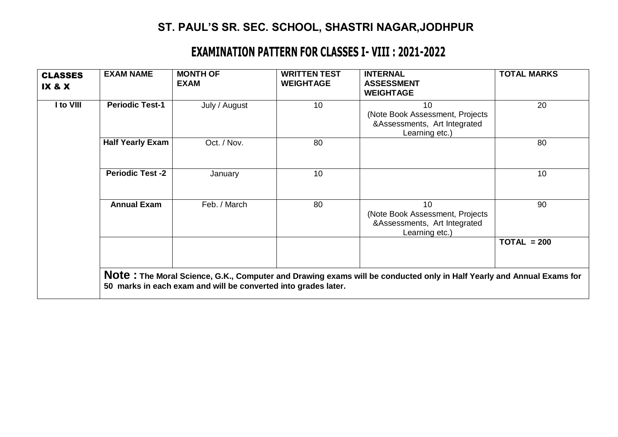## **ST. PAUL'S SR. SEC. SCHOOL, SHASTRI NAGAR,JODHPUR**

## **EXAMINATION PATTERN FOR CLASSES I- VIII : 2021-2022**

| <b>CLASSES</b><br><b>IX &amp; X</b> | <b>EXAM NAME</b>        | <b>MONTH OF</b><br><b>EXAM</b>                                 | <b>WRITTEN TEST</b><br><b>WEIGHTAGE</b> | <b>INTERNAL</b><br><b>ASSESSMENT</b><br><b>WEIGHTAGE</b>                                                             | <b>TOTAL MARKS</b> |
|-------------------------------------|-------------------------|----------------------------------------------------------------|-----------------------------------------|----------------------------------------------------------------------------------------------------------------------|--------------------|
| I to VIII                           | <b>Periodic Test-1</b>  | July / August                                                  | 10                                      | 10<br>(Note Book Assessment, Projects<br>&Assessments, Art Integrated<br>Learning etc.)                              | 20                 |
|                                     | <b>Half Yearly Exam</b> | Oct. / Nov.                                                    | 80                                      |                                                                                                                      | 80                 |
|                                     | <b>Periodic Test -2</b> | January                                                        | 10                                      |                                                                                                                      | 10                 |
|                                     | <b>Annual Exam</b>      | Feb. / March                                                   | 80                                      | 10<br>(Note Book Assessment, Projects<br>&Assessments, Art Integrated<br>Learning etc.)                              | 90                 |
|                                     |                         |                                                                |                                         |                                                                                                                      | $TOTAL = 200$      |
|                                     |                         | 50 marks in each exam and will be converted into grades later. |                                         | Note: The Moral Science, G.K., Computer and Drawing exams will be conducted only in Half Yearly and Annual Exams for |                    |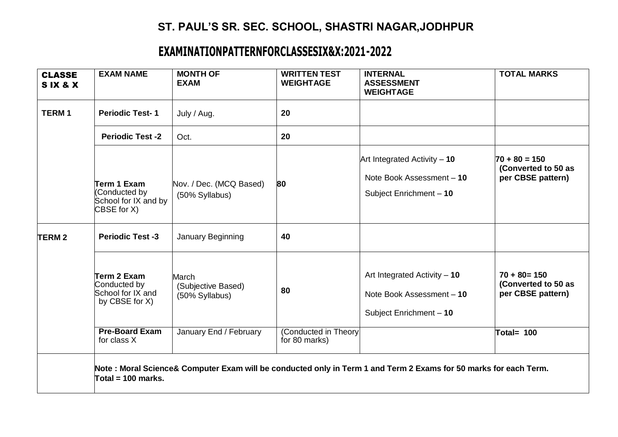## **ST. PAUL'S SR. SEC. SCHOOL, SHASTRI NAGAR,JODHPUR**

## **EXAMINATIONPATTERNFORCLASSESIX&X:2021-2022**

| <b>CLASSE</b><br>SIX&X | <b>EXAM NAME</b>                                                    | <b>MONTH OF</b><br><b>EXAM</b>                | <b>WRITTEN TEST</b><br><b>WEIGHTAGE</b> | <b>INTERNAL</b><br><b>ASSESSMENT</b><br><b>WEIGHTAGE</b>                                                         | <b>TOTAL MARKS</b>                                          |
|------------------------|---------------------------------------------------------------------|-----------------------------------------------|-----------------------------------------|------------------------------------------------------------------------------------------------------------------|-------------------------------------------------------------|
| <b>TERM1</b>           | <b>Periodic Test-1</b>                                              | July / Aug.                                   | 20                                      |                                                                                                                  |                                                             |
|                        | <b>Periodic Test -2</b>                                             | Oct.                                          | 20                                      |                                                                                                                  |                                                             |
|                        | Term 1 Exam<br>(Conducted by<br>School for IX and by<br>CBSE for X) | Nov. / Dec. (MCQ Based)<br>(50% Syllabus)     | 80                                      | Art Integrated Activity $-10$<br>Note Book Assessment - 10<br>Subject Enrichment - 10                            | $70 + 80 = 150$<br>(Converted to 50 as<br>per CBSE pattern) |
| <b>TERM2</b>           | <b>Periodic Test -3</b>                                             | January Beginning                             | 40                                      |                                                                                                                  |                                                             |
|                        | Term 2 Exam<br>Conducted by<br>School for IX and<br>by CBSE for X)  | March<br>(Subjective Based)<br>(50% Syllabus) | 80                                      | Art Integrated Activity $-10$<br>Note Book Assessment - 10<br>Subject Enrichment - 10                            | $70 + 80 = 150$<br>(Converted to 50 as<br>per CBSE pattern) |
|                        | <b>Pre-Board Exam</b><br>for class X                                | January End / February                        | (Conducted in Theory)<br>for 80 marks)  |                                                                                                                  | Total= 100                                                  |
|                        | Total = 100 marks.                                                  |                                               |                                         | Note: Moral Science& Computer Exam will be conducted only in Term 1 and Term 2 Exams for 50 marks for each Term. |                                                             |